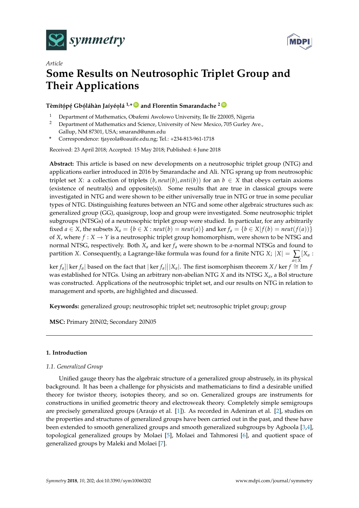



# *Article* **Some Results on Neutrosophic Triplet Group and Their Applications**

 $\Gamma$ èmítópé Gbóláhàn Jaíyéolá <sup>1,</sup>\*  $\blacksquare$  and Florentin Smarandache <sup>2 (</sup>

- <sup>1</sup> Department of Mathematics, Obafemi Awolowo University, Ile Ife 220005, Nigeria<br><sup>2</sup> Department of Mathematics and Science University of New Mexico, 705 Gurley A
- <sup>2</sup> Department of Mathematics and Science, University of New Mexico, 705 Gurley Ave., Gallup, NM 87301, USA; smarand@unm.edu
- **\*** Correspondence: tjayeola@oauife.edu.ng; Tel.: +234-813-961-1718

Received: 23 April 2018; Accepted: 15 May 2018; Published: 6 June 2018

**Abstract:** This article is based on new developments on a neutrosophic triplet group (NTG) and applications earlier introduced in 2016 by Smarandache and Ali. NTG sprang up from neutrosophic triplet set *X*: a collection of triplets  $(b, \text{neut}(b), \text{anti}(b))$  for an  $b \in X$  that obeys certain axioms (existence of neutral(s) and opposite(s)). Some results that are true in classical groups were investigated in NTG and were shown to be either universally true in NTG or true in some peculiar types of NTG. Distinguishing features between an NTG and some other algebraic structures such as: generalized group (GG), quasigroup, loop and group were investigated. Some neutrosophic triplet subgroups (NTSGs) of a neutrosophic triplet group were studied. In particular, for any arbitrarily fixed  $a \in X$ , the subsets  $X_a = \{b \in X : \text{neut}(b) = \text{neut}(a)\}$  and ker  $f_a = \{b \in X | f(b) = \text{neut}(f(a))\}$ of *X*, where  $f : X \to Y$  is a neutrosophic triplet group homomorphism, were shown to be NTSG and normal NTSG, respectively. Both *X<sup>a</sup>* and ker *f<sup>a</sup>* were shown to be *a*-normal NTSGs and found to partition *X*. Consequently, a Lagrange-like formula was found for a finite NTG *X*;  $|X| = \sum_{a \in X}$ [*X<sup>a</sup>* :

 $\left|\frac{f_a}{f_a}\right|$  ker  $f_a$  based on the fact that  $|\ker f_a||X_a|$ . The first isomorphism theorem *X*/ ker  $f \cong \text{Im } f$ was established for NTGs. Using an arbitrary non-abelian NTG *X* and its NTSG *Xa*, a Bol structure was constructed. Applications of the neutrosophic triplet set, and our results on NTG in relation to management and sports, are highlighted and discussed.

**Keywords:** generalized group; neutrosophic triplet set; neutrosophic triplet group; group

**MSC:** Primary 20N02; Secondary 20N05

# **1. Introduction**

# *1.1. Generalized Group*

Unified gauge theory has the algebraic structure of a generalized group abstrusely, in its physical background. It has been a challenge for physicists and mathematicians to find a desirable unified theory for twistor theory, isotopies theory, and so on. Generalized groups are instruments for constructions in unified geometric theory and electroweak theory. Completely simple semigroups are precisely generalized groups (Araujo et al. [\[1\]](#page-12-0)). As recorded in Adeniran et al. [\[2\]](#page-12-1), studies on the properties and structures of generalized groups have been carried out in the past, and these have been extended to smooth generalized groups and smooth generalized subgroups by Agboola [\[3,](#page-12-2)[4\]](#page-12-3), topological generalized groups by Molaei [\[5\]](#page-12-4), Molaei and Tahmoresi [\[6\]](#page-12-5), and quotient space of generalized groups by Maleki and Molaei [\[7\]](#page-12-6).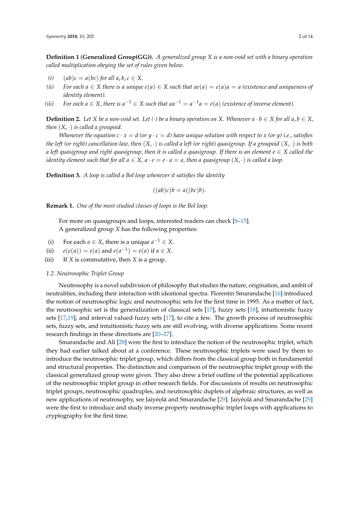**Definition 1** (**Generalized Group(GG)).** *A generalized group X is a non-void set with a binary operation called multiplication obeying the set of rules given below.*

- (*i*)  $(ab)c = a(bc)$  *for all a*, *b*,  $c \in X$ .
- *(ii)* For each  $a \in X$  there is a unique  $e(a) \in X$  such that  $ae(a) = e(a)a = a$  (existence and uniqueness of *identity element).*
- *(iii)* For each  $a \in X$ , there is  $a^{-1} \in X$  such that  $aa^{-1} = a^{-1}a = e(a)$  (existence of inverse element).

**Definition 2.** Let X be a non-void set. Let (·) be a binary operation on X. Whenever  $a \cdot b \in X$  for all  $a, b \in X$ , *then*  $(X, \cdot)$  *is called a groupoid.* 

*Whenever the equation*  $c \cdot x = d$  *(or*  $y \cdot c = d$ *) have unique solution with respect to*  $x$  *(or*  $y$ *) i.e., satisfies the left (or right) cancellation law, then* (*X*, ·) *is called a left (or right) quasigroup. If a groupoid* (*X*, ·) *is both a left quasigroup and right quasigroup, then it is called a quasigroup. If there is an element*  $e \in X$  *called the identity element such that for all*  $a \in X$ ,  $a \cdot e = e \cdot a = a$ , then a quasigroup  $(X, \cdot)$  is called a loop.

**Definition 3.** *A loop is called a Bol loop whenever it satisfies the identity*

$$
((ab)c)b = a((bc)b).
$$

**Remark 1.** *One of the most studied classes of loops is the Bol loop.*

For more on quasigroups and loops, interested readers can check [\[8](#page-12-7)[–15\]](#page-12-8). A generalized group *X* has the following properties:

- (i) For each *a*  $\in$  *X*, there is a unique *a*<sup>-1</sup>  $\in$  *X*.
- (ii)  $e(e(a)) = e(a)$  and  $e(a^{-1}) = e(a)$  if  $a \in X$ .
- (iii) If *X* is commutative, then *X* is a group.

#### *1.2. Neutrosophic Triplet Group*

Neutrosophy is a novel subdivision of philosophy that studies the nature, origination, and ambit of neutralities, including their interaction with ideational spectra. Florentin Smarandache [\[16\]](#page-12-9) introduced the notion of neutrosophic logic and neutrosophic sets for the first time in 1995. As a matter of fact, the neutrosophic set is the generalization of classical sets [\[17\]](#page-12-10), fuzzy sets [\[18\]](#page-12-11), intuitionistic fuzzy sets [\[17](#page-12-10)[,19\]](#page-13-0), and interval valued fuzzy sets [\[17\]](#page-12-10), to cite a few. The growth process of neutrosophic sets, fuzzy sets, and intuitionistic fuzzy sets are still evolving, with diverse applications. Some recent research findings in these directions are [\[20](#page-13-1)[–27\]](#page-13-2).

Smarandache and Ali [\[28\]](#page-13-3) were the first to introduce the notion of the neutrosophic triplet, which they had earlier talked about at a conference. These neutrosophic triplets were used by them to introduce the neutrosophic triplet group, which differs from the classical group both in fundamental and structural properties. The distinction and comparison of the neutrosophic triplet group with the classical generalized group were given. They also drew a brief outline of the potential applications of the neutrosophic triplet group in other research fields. For discussions of results on neutrosophic triplet groups, neutrosophic quadruples, and neutrosophic duplets of algebraic structures, as well as new applications of neutrosophy, see Jaiyéolá and Smarandache [\[29\]](#page-13-4). Jaiyéolá and Smarandache [29] were the first to introduce and study inverse property neutrosophic triplet loops with applications to cryptography for the first time.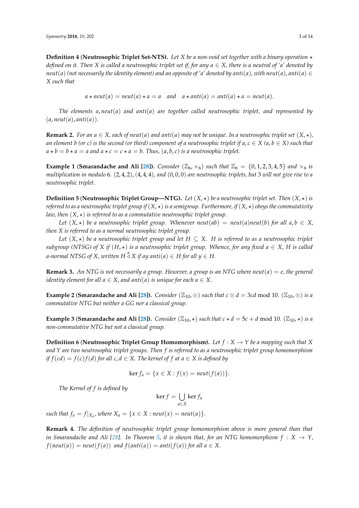**Definition 4** (**Neutrosophic Triplet Set-NTS**). Let *X* be a non-void set together with a binary operation  $\star$ *defined on it. Then X is called a neutrosophic triplet set if, for any a* ∈ *X, there is a neutral of 'a' denoted by neut*(*a*) (not necessarily the identity element) and an opposite of 'a' denoted by anti(*a*), with neut(*a*), anti(*a*)  $\in$ *X such that*

$$
a \star \text{neut}(a) = \text{neut}(a) \star a = a
$$
 and  $a \star \text{anti}(a) = \text{anti}(a) \star a = \text{neut}(a)$ .

*The elements a*, *neut*(*a*) *and anti*(*a*) *are together called neutrosophic triplet, and represented by*  $(a, \text{neut}(a), \text{anti}(a)).$ 

**Remark 2.** For an  $a \in X$ , each of neut(a) and anti(a) may not be unique. In a neutrosophic triplet set  $(X, \star)$ , *an element b* (or *c*) is the second (or third) component of a neutrosophic triplet if  $a, c \in X$  ( $a, b \in X$ ) such that  $a * b = b * a = a$  and  $a * c = c * a = b$ . Thus,  $(a, b, c)$  *is a neutrosophic triplet.* 

**Example 1** (**Smarandache and Ali [\[28\]](#page-13-3)**). *Consider* ( $\mathbb{Z}_6$ ,  $\times_6$ ) *such that*  $\mathbb{Z}_6 = \{0, 1, 2, 3, 4, 5\}$  *and*  $\times_6$  *is multiplication in modulo* 6*.* (2, 4, 2),(4, 4, 4)*, and* (0, 0, 0) *are neutrosophic triplets, but* 3 *will not give rise to a neutrosophic triplet.*

**Definition 5** (**Neutrosophic Triplet Group—NTG**). Let  $(X, \star)$  be a neutrosophic triplet set. Then  $(X, \star)$  is *referred to as a neutrosophic triplet group if*  $(X, \star)$  *is a semigroup. Furthermore, if*  $(X, \star)$  *obeys the commutativity law, then*  $(X, \star)$  *is referred to as a commutative neutrosophic triplet group.* 

*Let*  $(X, \star)$  *be a neutrosophic triplet group. Whenever neut*(*ab*) = *neut*(*a*)*neut*(*b*) *for all*  $a, b \in X$ , *then X is referred to as a normal neutrosophic triplet group.*

*Let*  $(X, \star)$  *be a neutrosophic triplet group and let*  $H \subseteq X$ . *H is referred to as a neutrosophic triplet subgroup* (NTSG) of *X* if  $(H, \star)$  is a neutrosophic triplet group. Whence, for any fixed  $a \in X$ , H is called *a-normal NTSG of X, written H*  $\stackrel{a}{\triangleleft}$  *X if ay anti*(*a*)  $\in$  *H for all y*  $\in$  *H.* 

**Remark 3.** An NTG is not necessarily a group. However, a group is an NTG where neut( $a$ ) =  $e$ , the general *identity element for all*  $a \in X$ *, and anti*(*a*) *is unique for each*  $a \in X$ .

**Example 2** (**Smarandache and Ali [\[28\]](#page-13-3)**). *Consider* ( $\mathbb{Z}_{10}$ ,  $\otimes$ ) *such that*  $c \otimes d = 3cd \mod 10$ . ( $\mathbb{Z}_{10}$ ,  $\otimes$ ) *is a commutative NTG but neither a GG nor a classical group.*

**Example 3** (**Smarandache and Ali** [\[28\]](#page-13-3)). *Consider* ( $\mathbb{Z}_{10}$ ,  $\star$ ) *such that*  $c \star d = 5c + d$  mod 10. ( $\mathbb{Z}_{10}$ ,  $\star$ ) *is a non-commutative NTG but not a classical group.*

**Definition 6** (**Neutrosophic Triplet Group Homomorphism**). Let  $f : X \rightarrow Y$  be a mapping such that X *and Y are two neutrosophic triplet groups. Then f is referred to as a neutrosophic triplet group homomorphism if*  $f(cd) = f(c)f(d)$  *for all c,*  $d \in X$ *. The kernel of f at a*  $\in X$  *is defined by* 

$$
\ker f_a = \{x \in X : f(x) = \text{neut}(f(a))\}.
$$

*The Kernel of f is defined by*

$$
\ker f = \bigcup_{a \in X} \ker f_a
$$

*such that*  $f_a = f|_{X_a}$ , where  $X_a = \{x \in X : \text{neut}(x) = \text{neut}(a)\}.$ 

**Remark 4.** *The definition of neutrosophic triplet group homomorphism above is more general than that in Smarandache and Ali* [\[28\]](#page-13-3)*.* In Theorem [5,](#page-5-0) it is shown that, for an NTG homomorphism  $f : X \to Y$ ,  $f(neut(a)) = neut(f(a))$  *and*  $f(anti(a)) = anti(f(a))$  *for all*  $a \in X$ .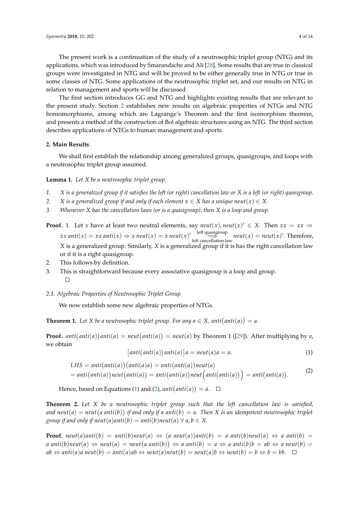The present work is a continuation of the study of a neutrosophic triplet group (NTG) and its applications, which was introduced by Smarandache and Ali [\[28\]](#page-13-3). Some results that are true in classical groups were investigated in NTG and will be proved to be either generally true in NTG or true in some classes of NTG. Some applications of the neutrosophic triplet set, and our results on NTG in relation to management and sports will be discussed.

The first section introduces GG and NTG and highlights existing results that are relevant to the present study. Section [2](#page-3-0) establishes new results on algebraic properties of NTGs and NTG homomorphisms, among which are Lagrange's Theorem and the first isomorphism theorem, and presents a method of the construction of Bol algebraic structures using an NTG. The third section describes applications of NTGs to human management and sports.

# <span id="page-3-0"></span>**2. Main Results**

We shall first establish the relationship among generalized groups, quasigroups, and loops with a neutrosophic triplet group assumed.

<span id="page-3-3"></span>**Lemma 1.** *Let X be a neutrosophic triplet group.*

- *1. X is a generalized group if it satisfies the left (or right) cancellation law or X is a left (or right) quasigroup.*
- *2. X* is a generalized group if and only if each element  $x \in X$  has a unique neut $(x) \in X$ .
- *3. Whenever X has the cancellation laws (or is a quasigroup), then X is a loop and group.*

**Proof.** 1. Let *x* have at least two neutral elements, say  $neut(x)$ ,  $neut(x)' \in X$ . Then  $xx = xx \Rightarrow$  $\overrightarrow{x}$ *x* anti $(x) \Rightarrow x$  neut $(x) = x$  neut $(x)'$  left quasigroup neut $(x) =$  neut $(x)'$ . Therefore, *X* is a generalized group. Similarly, *X* is a generalized group if it is has the right cancellation law or if it is a right quasigroup.

- 2. This follows by definition.
- 3. This is straightforward because every associative quasigroup is a loop and group.  $\Box$

#### *2.1. Algebraic Properties of Neutrosophic Triplet Group*

We now establish some new algebraic properties of NTGs.

**Theorem 1.** Let X be a neutrosophic triplet group. For any  $a \in X$ , anti $(anti(a)) = a$ .

**Proof.**  $anti(anti(a))$  anti $(a) = neut(anti(a)) = neut(a)$  by Theorem 1 ([\[29\]](#page-13-4)). After multiplying by a, we obtain

<span id="page-3-1"></span>
$$
[anti(anti(a))anti(a)]a = neut(a)a = a.
$$
 (1)

<span id="page-3-2"></span>*LHS* = *anti anti*(*a*) *anti*(*a*)*a* = *anti anti*(*a*) *neut*(*a*) = *anti anti*(*a*) *neut anti*(*a*) = *anti anti*(*a*) *neut anti anti*(*a*) = *anti anti*(*a*) . (2)

Hence, based on Equations [\(1\)](#page-3-1) and [\(2\)](#page-3-2),  $anti(anti(a)) = a$ .

**Theorem 2.** *Let X be a neutrosophic triplet group such that the left cancellation law is satisfied,* and  $neut(a) = neut(a\ anti(b))$  if and only if a anti $(b) = a$ . Then X is an idempotent neutrosophic triplet *group if and only if neut*(*a*)*anti*(*b*) = *anti*(*b*)*neut*(*a*)  $\forall$  *a*, *b*  $\in$  *X*.

**Proof.** neut(a)anti(b) = anti(b)neut(a)  $\Leftrightarrow$  (a neut(a))anti(b) = a anti(b)neut(a)  $\Leftrightarrow$  a anti(b) =  $a \; \textit{anti}(b) \textit{neut}(a) \Leftrightarrow \textit{neut}(a) = \textit{neut}(a \; \textit{anti}(b)) \Leftrightarrow a \; \textit{anti}(b) = a \Leftrightarrow a \; \textit{anti}(b)b = ab \Leftrightarrow a \; \textit{neut}(b) = b$  $ab \Leftrightarrow$  anti(a)a neut(b) = anti(a)ab  $\Leftrightarrow$  neut(a)neut(b) = neut(a)b  $\Leftrightarrow$  neut(b) = b  $\Leftrightarrow$  b = bb.  $\square$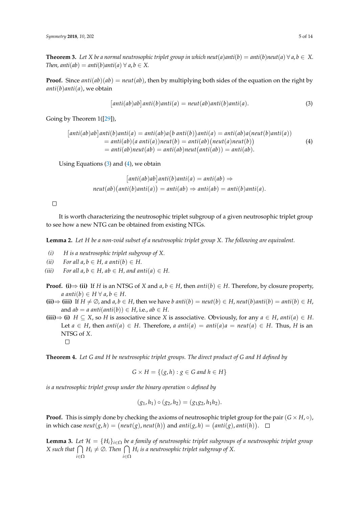<span id="page-4-3"></span>**Theorem 3.** Let *X* be a normal neutrosophic triplet group in which neut(*a*)anti(*b*) = anti(*b*)neut(*a*)  $\forall a, b \in X$ . *Then, anti*(*ab*) = *anti*(*b*)*anti*(*a*)  $\forall$  *a*, *b*  $\in$  *X*.

**Proof.** Since  $anti(ab)(ab) = neut(ab)$ , then by multiplying both sides of the equation on the right by *anti*(*b*)*anti*(*a*), we obtain

<span id="page-4-0"></span>
$$
[anti(ab)ab] anti(b) anti(a) = neutr(ab) anti(b) anti(a).
$$
\n(3)

Going by Theorem 1([\[29\]](#page-13-4)),

<span id="page-4-1"></span>
$$
[anti(ab)ab] anti(b) anti(a) = anti(ab)a(b) anti(b)) anti(a) = anti(ab)a(neut(b) anti(a))
$$
  
= anti(ab)(a anti(a))neut(b) = anti(ab)(neut(a) neut(b))  
= anti(ab)neut(ab) = anti(ab)neut(anti(ab)) = anti(ab). (4)

Using Equations  $(3)$  and  $(4)$ , we obtain

$$
[anti(ab)ab] anti(b) anti(a) = anti(ab) \Rightarrow
$$

$$
neut(ab) (anti(b) anti(a)) = anti(ab) \Rightarrow anti(ab) = anti(b) anti(a).
$$

 $\Box$ 

It is worth characterizing the neutrosophic triplet subgroup of a given neutrosophic triplet group to see how a new NTG can be obtained from existing NTGs.

<span id="page-4-2"></span>**Lemma 2.** *Let H be a non-void subset of a neutrosophic triplet group X. The following are equivalent.*

- *(i) H is a neutrosophic triplet subgroup of X.*
- *(ii)*  $For all a, b \in H, a anti(b) \in H.$
- (*iii*) *For all a,*  $b \in H$ *,*  $ab \in H$ *, and anti*(*a*)  $\in H$ .
- **Proof.** (i)  $\Rightarrow$  (ii) If *H* is an NTSG of *X* and *a*, *b*  $\in$  *H*, then *anti*(*b*)  $\in$  *H*. Therefore, by closure property,  $a \text{ anti}(b) \in H \ \forall \text{ } a, b \in H.$
- (ii)  $\Rightarrow$  (iii) If  $H \neq \emptyset$ , and  $a, b \in H$ , then we have b anti(b) = neut(b)  $\in H$ , neut(b)anti(b) = anti(b)  $\in H$ , and  $ab = a$  anti $(\text{anti}(b)) \in H$ , i.e.,  $ab \in H$ .

**(iii)**  $\Rightarrow$  **(i)** *H* ⊆ *X*, so *H* is associative since *X* is associative. Obviously, for any *a* ∈ *H*, *anti*(*a*) ∈ *H*. Let  $a \in H$ , then  $anti(a) \in H$ . Therefore,  $a \ anti(a) = anti(a)a = neut(a) \in H$ . Thus, H is an NTSG of *X*.

**Theorem 4.** *Let G and H be neutrosophic triplet groups. The direct product of G and H defined by*

$$
G \times H = \{(g, h) : g \in G \text{ and } h \in H\}
$$

*is a neutrosophic triplet group under the binary operation* ◦ *defined by*

$$
(g_1, h_1) \circ (g_2, h_2) = (g_1g_2, h_1h_2).
$$

**Proof.** This is simply done by checking the axioms of neutrosophic triplet group for the pair  $(G \times H, \circ)$ , in which case  $neut(g, h) = (neut(g), neut(h))$  and  $anti(g, h) = (anti(g), anti(h)).$ 

**Lemma 3.** *Let*  $\mathcal{H} = \{H_i\}_{i \in \Omega}$  *be a family of neutrosophic triplet subgroups of a neutrosophic triplet group X* such that  $\bigcap H_i \neq \emptyset$ . Then  $\bigcap H_i$  is a neutrosophic triplet subgroup of X. *i*∈Ω *i*∈Ω

 $\Box$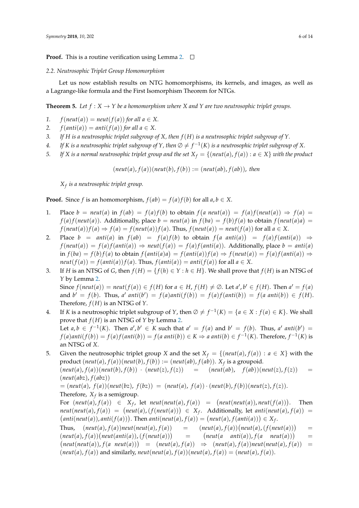**Proof.** This is a routine verification using Lemma [2.](#page-4-2)  $\Box$ 

## *2.2. Neutrosophic Triplet Group Homomorphism*

Let us now establish results on NTG homomorphisms, its kernels, and images, as well as a Lagrange-like formula and the First Isomorphism Theorem for NTGs.

<span id="page-5-0"></span>**Theorem 5.** Let  $f: X \to Y$  be a homomorphism where X and Y are two neutrosophic triplet groups.

- *1.*  $f(newt(a)) = neut(f(a))$  *for all*  $a \in X$ *.*
- 2.  $f(anti(a)) = anti(f(a))$  *for all a*  $\in$  *X*.
- *3. If H is a neutrosophic triplet subgroup of X, then f*(*H*) *is a neutrosophic triplet subgroup of Y.*
- *4.* If K is a neutrosophic triplet subgroup of Y, then  $\emptyset \neq f^{-1}(K)$  is a neutrosophic triplet subgroup of X.
- *5. If X* is a normal neutrosophic triplet group and the set  $X_f = \{(neut(a), f(a)) : a \in X\}$  *with the product*

 $(\textit{neut}(a), f(a))( \textit{neut}(b), f(b)) := (\textit{neut}(ab), f(ab)), \text{ then}$ 

*Xf is a neutrosophic triplet group.*

**Proof.** Since *f* is an homomorphism,  $f(ab) = f(a)f(b)$  for all  $a, b \in X$ .

- 1. Place  $b = \text{neut}(a)$  in  $f(ab) = f(a)f(b)$  to obtain  $f(a \text{ neut}(a)) = f(a)f(\text{neut}(a)) \Rightarrow f(a) = f(a)$ *f*(*a*)*f*(*neut*(*a*)). Additionally, place *b* = *neut*(*a*) in *f*(*ba*) = *f*(*b*)*f*(*a*) to obtain *f*(*neut*(*a*)*a*) =  $f(new(A))f(a) \Rightarrow f(a) = f(new(A))f(a)$ . Thus,  $f(new(A)) = neut(f(a))$  for all  $a \in X$ .
- 2. Place  $b = anti(a)$  in  $f(ab) = f(a)f(b)$  to obtain  $f(a \text{ anti}(a)) = f(a)f(anti(a)) \Rightarrow$  $f(newt(a)) = f(a)f(anti(a)) \Rightarrow neut(f(a)) = f(a)f(anti(a))$ . Additionally, place  $b = anti(a)$  $\inf f(ba) = f(b)f(a)$  to obtain  $f(anti(a)a) = f(anti(a))f(a) \Rightarrow f(neut(a)) = f(a)f(anti(a)) \Rightarrow$  $neut(f(a)) = f(anti(a)) f(a)$ . Thus,  $f(anti(a)) = anti(f(a))$  for all  $a \in X$ .
- 3. If *H* is an NTSG of *G*, then  $f(H) = \{f(h) \in Y : h \in H\}$ . We shall prove that  $f(H)$  is an NTSG of *Y* by Lemma [2.](#page-4-2) Since  $f(neut(a)) = neut(f(a)) \in f(H)$  for  $a \in H$ ,  $f(H) \neq \emptyset$ . Let  $a', b' \in f(H)$ . Then  $a' = f(a)$ and  $b' = f(b)$ . Thus, a' anti $(b') = f(a)$ anti $(f(b)) = f(a)f($ anti $(b)) = f(a$  anti $(b)) \in f(H)$ . Therefore, *f*(*H*) is an NTSG of *Y*.
- 4. If *K* is a neutrosophic triplet subgroup of *Y*, then  $\emptyset \neq f^{-1}(K) = \{a \in X : f(a) \in K\}$ . We shall prove that  $f(H)$  is an NTSG of  $Y$  by Lemma [2.](#page-4-2) Let  $a, b \in f^{-1}(K)$ . Then  $a', b' \in K$  such that  $a' = f(a)$  and  $b' = f(b)$ . Thus,  $a'$  anti $(b') =$  $f(a)$ anti $(f(b)) = f(a)f(anti(b)) = f(a \text{ anti}(b)) \in K \Rightarrow a \text{ anti}(b) \in f^{-1}(K)$ . Therefore,  $f^{-1}(K)$  is an NTSG of *X*.
- 5. Given the neutrosophic triplet group *X* and the set  $X_f = \{(neut(a), f(a)) : a \in X\}$  with the  $\text{product } (\textit{neut}(a), f(a))(\textit{neut}(b), f(b)) := (\textit{neut}(ab), f(ab)). \text{ } X_f \text{ is a groupoid.}$  $(new(a), f(a))(neut(b), f(b)) \cdot (neut(z), f(z)) = (neut(ab), f(ab))(neut(z), f(z)) =$ (*neut*(*abz*), *f*(*abz*))

 $= (neut(a), f(a))(neut(bz), f(bz)) = (neut(a), f(a)) \cdot (neut(b), f(b))(neut(z), f(z)).$ Therefore, *X<sup>f</sup>* is a semigroup.

For  $(newt(a), f(a)) \in X_f$ , let  $neut(newt(a), f(a)) = (neut(newt(a)), newt(f(a))).$  Then  $neut(new(a), f(a)) = (neut(a), (f(newt(a))) \in X_f$ . Additionally, let *anti*(*neut*(*a*),  $f(a)) =$  $\mathcal{L}(anti(neut(a)),anti(f(a)))$ . Then  $anti(neut(a), f(a)) = (neut(a), f(anti(a))) \in X_f$ .

Thus,  $(new(a), f(a))$ *neut*(*neut*(*a*),  $f(a)) = (neut(a), f(a))$ (*neut*(*a*),( $f(newt(a))$ ) =  $(\textit{neut}(a), f(a))(\textit{neut}(\textit{anti}(a)), (f(\textit{neut}(a)))$  =  $(\textit{neut}(a \quad \textit{anti}(a)), f(a \quad \textit{neut}(a)))$ =  $(\textit{neut}(\textit{neut}(a)), f(a \textit{neut}(a))) = (\textit{neut}(a), f(a)) \Rightarrow (\textit{neut}(a), f(a)) \textit{neut}(\textit{neut}(a), f(a)) =$  $(\textit{neut}(a), f(a))$  and similarly,  $\textit{neut}(\textit{neut}(a), f(a))(\textit{neut}(a), f(a)) = (\textit{neut}(a), f(a)).$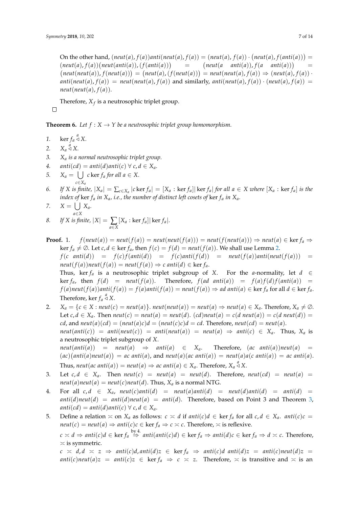On the other hand,  $(\textit{neut}(a), f(a))$ anti $(\textit{neut}(a), f(a)) = (\textit{neut}(a), f(a)) \cdot (\textit{neut}(a), f(\textit{anti}(a))) =$  $(\textit{neut}(a), f(a))$  ( $\textit{neut}(\textit{anti}(a)), (f(\textit{anti}(a)))$ )  $=$  $(neut(a \space anti(a)), f(a \space anti(a)))$ =  $(\textit{neut}(\textit{neut}(a)), f(\textit{neut}(a))) = (\textit{neut}(a), (f(\textit{neut}(a))) = \textit{neut}(\textit{neut}(a), f(a)) \Rightarrow (\textit{neut}(a), f(a))$  $anti(neut(a), f(a)) = neut(neut(a), f(a))$  and similarly,  $anti(neut(a), f(a)) \cdot (neut(a), f(a)) =$  $neut(new(a), f(a)).$ 

Therefore,  $X_f$  is a neutrosophic triplet group.

<span id="page-6-0"></span>**Theorem 6.** Let  $f: X \to Y$  be a neutrosophic triplet group homomorphism.

- 1. ker  $f_a \stackrel{a}{\triangleleft} X$ .
- 2.  $X_a \stackrel{a}{\triangleleft} X$ .

 $\Box$ 

- *3. X<sup>a</sup> is a normal neutrosophic triplet group.*
- *4.*  $antic(d) = anti(d)anti(c) \forall c, d \in X_a$ .
- *5.*  $X_a = \bigcup c \ker f_a$  *for all a*  $\in X$ *. c*∈*X<sup>a</sup>*
- 6. If X is finite,  $|X_a| = \sum_{c \in X_a} |c \ker f_a| = [X_a : \ker f_a]| \ker f_a|$  for all  $a \in X$  where  $[X_a : \ker f_a]$  is the *index of* ker *f<sup>a</sup> in Xa, i.e., the number of distinct left cosets of* ker *f<sup>a</sup> in Xa.*

$$
7. \qquad X = \bigcup_{a \in X} X_a.
$$

8. If X is finite, 
$$
|X| = \sum_{a \in X} [X_a : \ker f_a]| \ker f_a|
$$
.

- **Proof.** 1.  $f(neut(a)) = neut(f(a)) = neut(neut(f(a))) = neut(f(neut(a))) \Rightarrow neut(a) \in \text{ker } f_a \Rightarrow$  $ker f_a ≠ ∅$ . Let *c*, *d* ∈ ker *f<sub>a</sub>*, then *f*(*c*) = *f*(*d*) = *neut*(*f*(*a*)). We shall use Lemma [2.](#page-4-2)  $f(c \space anti(d)) = f(c)f(anti(d)) = f(c)anti(f(d)) = neut(f(a))anti(neut(f(a))) =$  $neut(f(a))neut(f(a)) = neut(f(a)) \Rightarrow c \text{ anti}(d) \in \text{ker } f_a.$ Thus, ker  $f_a$  is a neutrosophic triplet subgroup of *X*. For the *a*-normality, let  $d \in$ ker  $f_a$ , then  $f(d) = new(f(a))$ . Therefore,  $f(ad \ anti(a)) = f(a)f(d)f(anti(a)) =$  $f(a)$ neut $(f(a))$ anti $(f(a)) = f(a)$ anti $(f(a)) =$ neut $(f(a)) \Rightarrow$ ad anti $(a) \in \text{ker } f_a$  for all  $d \in \text{ker } f_a$ . Therefore, ker  $f_a \stackrel{a}{\triangleleft} X$ .
- 2.  $X_a = \{c \in X : neut(c) = neut(a)\}\$ .  $neut(new(a)) = neut(a) \Rightarrow neut(a) \in X_a$ . Therefore,  $X_a \neq \emptyset$ . Let  $c, d \in X_a$ . Then  $neut(c) = neut(a) = neut(d)$ .  $(cd)neut(a) = c(d \text{ } neut(a)) = c(d \text{ } neut(d)) = c(d \text{ } neut(b))$  $cd$ , and  $neut(a)(cd) = (neut(a)c)d = (neut(c)c)d = cd$ . Therefore,  $neut(cd) = neut(a)$ .  $neut(anti(c)) = anti(neut(c)) = anti(neut(a)) = neut(a) \Rightarrow anti(c) \in X_a$ . Thus,  $X_a$  is a neutrosophic triplet subgroup of *X*.  $neut(anti(a))$  =  $neut(a)$   $\Rightarrow$   $anti(a) \in X_a$ . Therefore, (*ac anti*(*a*))*neut*(*a*) =  $f(ac)(anti(a))neut(a)) = ac$  anti $(a)$ , and  $neut(a)(ac$  anti $(a)) = neut(a)a(c$  anti $(a)) = ac$  anti $(a)$ .

Thus,  $neut(ac \ anti(a)) = neut(a) \Rightarrow ac \ anti(a) \in X_a$ . Therefore,  $X_a \stackrel{a}{\triangle} X$ .

- 3. Let  $c, d \in X_a$ . Then  $neut(c) = neut(a) = neut(d)$ . Therefore,  $neut(cd) = neut(a) =$ *neut*(*a*)*neut*(*a*) = *neut*(*c*)*neut*(*d*). Thus,  $X_a$  is a normal NTG.
- 4. For all  $c, d \in X_a$ ,  $neut(c)anti(d) = neut(a)anti(d) = neut(d)anti(d) = anti(d) =$  $anti(d)neut(d) = anti(d)neut(a) = anti(d)$ . Therefore, based on Point 3 and Theorem [3,](#page-4-3)  $anti(cd) = anti(d)anti(c) \ \forall \ c, d \in X_a$ .
- 5. Define a relation  $\asymp$  on  $X_a$  as follows:  $c \asymp d$  if  $anti(c)d \in \text{ker } f_a$  for all  $c, d \in X_a$ .  $anti(c)c =$ *neut*(*c*) = *neut*(*a*) ⇒ *anti*(*c*)*c* ∈ ker *f<sub>a</sub>* ⇒ *c*  $\times$  *c*. Therefore,  $\times$  is reflexive.

 $c \times d \Rightarrow$  anti $(c)d \in \ker f_a \stackrel{\rm by 4.}{\Rightarrow}$  anti $(anti(c)d) \in \ker f_a \Rightarrow anti(d)c \in \ker f_a \Rightarrow d \times c$ . Therefore,  $\asymp$  is symmetric.

 $c \times d, d \times z \Rightarrow$  anti(c)d, anti(d)z  $\in$  ker  $f_a \Rightarrow$  anti(c)d anti(d)z = anti(c)neut(d)z = *anti*(*c*)*neut*(*a*)*z* = *anti*(*c*)*z*  $\in$  ker  $f_a \Rightarrow c \approx z$ . Therefore,  $\approx$  is transitive and  $\approx$  is an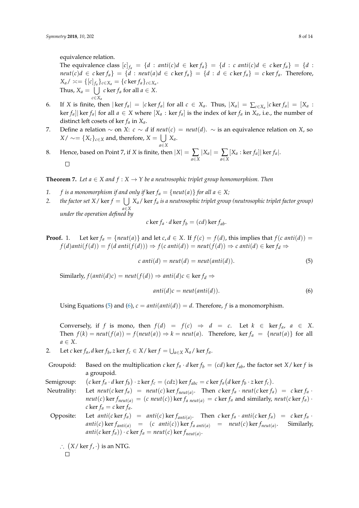equivalence relation.

The equivalence class  $[c]_{f_a} = \{d : \text{anti}(c)d \in \text{ker } f_a\} = \{d : \text{c anti}(c)d \in \text{c ker } f_a\} = \{d : \text{const}(c)d \in \text{c ker } f_a\} = \{d : \text{const}(c)d \in \text{c ker } f_a\} = \{d : \text{const}(c)d \in \text{c ker } f_a\} = \{d : \text{const}(c)d \in \text{c ker } f_a\} = \{d : \text{const}(c)d \in \text{c ker } f_a\} = \{d : \text{const}(c)d \in \text{c ker } f_a\}$  $neut(c)d \in c \ker f_a$  =  $\{d : neut(a)d \in c \ker f_a\}$  =  $\{d : d \in c \ker f_a\}$  =  $c \ker f_a$ . Therefore,  $X_a$ /  $\asymp = \{ [c]_{f_a} \}_{c \in X_a} = \{ c \ker f_a \}_{c \in X_a}$ . Thus,  $X_a = \bigcup c \ker f_a$  for all  $a \in X$ . *c*∈*X<sup>a</sup>*

- 6. If X is finite, then  $|\ker f_a| = |c \ker f_a|$  for all  $c \in X_a$ . Thus,  $|X_a| = \sum_{c \in X_a} |c \ker f_a| = [X_a :$  $\ker f_a$  for all  $a \in X$  where  $[X_a : \ker f_a]$  is the index of ker  $f_a$  in  $X_a$ , i.e., the number of distinct left cosets of ker *f<sup>a</sup>* in *Xa*.
- 7. Define a relation  $\sim$  on *X*: *c* ∼ *d* if *neut*(*c*) = *neut*(*d*). ∼ is an equivalence relation on *X*, so *X* /  $\sim$  = {*X<sub>c</sub>*}<sub>*c*∈*X*</sub> and, therefore, *X* = ∪ *X*<sub>*a*</sub>.
- *a*∈*X* 8. Hence, based on Point 7, if *X* is finite, then  $|X| = \sum_{a \in X} |X_a| = \sum_{a \in X}$  $[X_a : \ker f_a] | \ker f_a|.$  $\Box$

<span id="page-7-2"></span>**Theorem 7.** Let  $a \in X$  and  $f: X \to Y$  be a neutrosophic triplet group homomorphism. Then

- *1. f is a monomorphism if and only if*  $\ker f_a = \{neut(a)\}$  *for all a*  $\in$  *X;*
- 2. *the factor set X* /  $\ker f = \bigcup X_a$  /  $\ker f_a$  *is a neutrosophic triplet group (neutrosophic triplet factor group) a*∈*X under the operation defined by*

$$
c \ker f_a \cdot d \ker f_b = (cd) \ker f_{ab}.
$$

**Proof.** 1. Let ker  $f_a = \{neut(a)\}$  and let  $c, d \in X$ . If  $f(c) = f(d)$ , this implies that  $f(c \text{ anti}(d)) = f(d)$ *f*(*d*)*anti*(*f*(*d*)) = *f*(*d anti*(*f*(*d*))) ⇒ *f*(*c anti*(*d*)) = *neut*(*f*(*d*)) ⇒ *c anti*(*d*) ∈ ker *f*<sub>*d*</sub> ⇒

<span id="page-7-0"></span>
$$
c \tanti(d) = neut(d) = neut(anti(d)). \t(5)
$$

Similarly,  $f(\text{anti}(d)c) = \text{neut}(f(d)) \Rightarrow \text{anti}(d)c \in \text{ker } f_d \Rightarrow$ 

<span id="page-7-1"></span>
$$
anti(d)c = neutr(intid)).
$$
\n(6)

Using Equations [\(5\)](#page-7-0) and [\(6\)](#page-7-1),  $c = anti(anti(d)) = d$ . Therefore, f is a monomorphism.

Conversely, if *f* is mono, then  $f(d) = f(c) \Rightarrow d = c$ . Let  $k \in \text{ker } f_a$ ,  $a \in X$ . Then  $f(k) = \text{neut}(f(a)) = f(\text{neut}(a)) \Rightarrow k = \text{neut}(a)$ . Therefore, ker  $f_a = \{\text{neut}(a)\}\$ for all *a* ∈ *X*.

2. Let *c* ker  $f_a$ , *d* ker  $f_b$ , *z* ker  $f_c \in X/$  ker  $f = \bigcup_{a \in X} X_a$ / ker  $f_a$ .

Groupoid: Based on the multiplication *c* ker  $f_a \cdot d$  ker  $f_b = (cd)$  ker  $f_{ab}$ , the factor set *X*/ ker *f* is a groupoid.

Semigroup: c ker  $f_a \cdot d$  ker  $f_b$ )  $\cdot z$  ker  $f_c = (cdz)$  ker  $f_{abc} = c$  ker  $f_a(d \ker f_b \cdot z \ker f_c)$ .

Neutrality: Let  $neut(c \ker f_a) = neut(c) \ker f_{neut(a)}$ . Then  $c \ker f_a \cdot neut(c \ker f_a) = c \ker f_a \cdot$  $neut(c)$  ker  $f_{neut(a)} = (c \text{ } neut(c))$  ker  $f_{a \text{ } neut(a)} = c$  ker  $f_a$  and similarly,  $neut(c$  ker  $f_a)$ .  $c$  ker  $f_a = c$  ker  $f_a$ .

Opposite: Let  $anti(c \ker f_a) = anti(c) \ker f_{anti(a)}$ . Then  $c \ker f_a \cdot anti(c \ker f_a) = c \ker f_a$ .  $\int$ *anti*(*c*) ker  $f_{\text{anti}(a)} = (c \text{ anti}(c))$  ker  $f_{\text{a anti}(a)} = \text{neut}(c)$  ker  $f_{\text{neut}(a)}$ . . Similarly,  $\mathit{anti}(c \ker f_a)) \cdot c \ker f_a = \mathit{neut}(c) \ker f_{\mathit{neut}(a)}$ .

∴  $(X/\ker f, \cdot)$  is an NTG.

$$
\Box
$$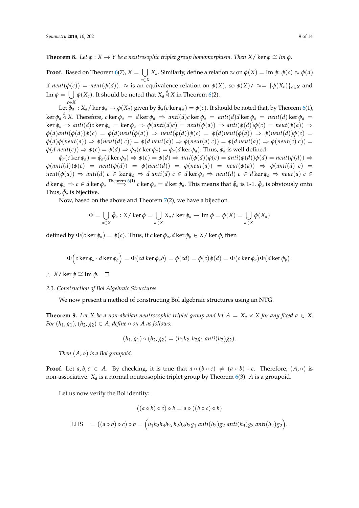**Theorem 8.** Let  $\phi$  :  $X \to Y$  be a neutrosophic triplet group homomorphism. Then  $X/\text{ker } \phi \cong \text{Im } \phi$ .

**Proof.** Based on Theorem [6\(](#page-6-0)7),  $X = \bigcup X_a$ . Similarly, define a relation  $\approx$  on  $\phi(X) = \text{Im }\phi$ :  $\phi(c) \approx \phi(d)$ *a*∈*X* if  $neut(\phi(c)) = neut(\phi(d))$ .  $\approx$  is an equivalence relation on  $\phi(X)$ , so  $\phi(X)/ \approx = {\phi(X_c)}_{c \in X}$  and Im  $\phi = \bigcup \phi(X_c)$ . It should be noted that  $X_a \stackrel{a}{\triangle} X$  in Theorem [6\(](#page-6-0)2). *c*∈*X*

Let  $\bar{\phi}_a$ :  $X_a$  / ker  $\phi_a \to \phi(X_a)$  given by  $\bar{\phi}_a(c \ker \phi_a) = \phi(c)$ . It should be noted that, by Theorem [6\(](#page-6-0)1), ker  $\phi_a$   $\stackrel{a}{\triangle}$  X. Therefore, cker  $\phi_a = d$  ker  $\phi_a \Rightarrow$  anti $(d)c$  ker  $\phi_a =$  anti $(d)d$  ker  $\phi_a =$  neut $(d)$  ker  $\phi_a =$  $\ker \phi_a \Rightarrow$  anti(d)c  $\ker \phi_a = \ker \phi_a \Rightarrow \phi(\text{anti}(d)c) = \text{neut}(\phi(a)) \Rightarrow$  anti( $\phi(d))\phi(c) = \text{neut}(\phi(a)) \Rightarrow$  $\phi(d)$ anti $(\phi(d))\phi(c) = \phi(d)$ neut $(\phi(a)) \Rightarrow$ neut $(\phi(d))\phi(c) = \phi(d)$ neut $(\phi(a)) \Rightarrow \phi(n$ eut $(d))\phi(c) =$  $\phi(d)\phi(neut(a)) \Rightarrow \phi(neut(d) c)) = \phi(dneut(a)) \Rightarrow \phi(neut(a) c)) = \phi(dneut(a)) \Rightarrow \phi(neut(c) c)) =$  $\phi$ (*d* neut(*c*))  $\Rightarrow$   $\phi$ (*c*)  $= \phi$ (*d*)  $\Rightarrow$   $\bar{\phi}_a$ (*c* ker  $\phi_a$ )  $= \bar{\phi}_a$ (*d* ker  $\phi_a$ ). Thus,  $\bar{\phi}_a$  is well defined.

 $\bar{\phi}_a(c\ker \phi_a) = \bar{\phi}_a(d\ker \phi_a) \Rightarrow \phi(c) = \phi(d) \Rightarrow anti(\phi(d))\phi(c) = anti(\phi(d))\phi(d) = neutr(\phi(d)) \Rightarrow$  $\phi(\text{anti}(d))\phi(c) = \text{neut}(\phi(d)) = \phi(\text{neut}(d)) = \phi(\text{neut}(a)) = \text{neut}(\phi(a)) \Rightarrow \phi(\text{anti}(d) c) =$  $neut(\phi(a)) \Rightarrow anti(d)$   $c \in \text{ker } \phi_a \Rightarrow d$  anti $(d)$   $c \in d \text{ker } \phi_a \Rightarrow neut(d)$   $c \in d \text{ker } \phi_a \Rightarrow neut(a)$   $c \in d$ d ker  $\phi_a\Rightarrow c\in d$  ker  $\phi_a\stackrel{\rm Theorem~6(1)}=\Rightarrow c$  $\phi_a\stackrel{\rm Theorem~6(1)}=\Rightarrow c$  $\phi_a\stackrel{\rm Theorem~6(1)}=\Rightarrow c$  ker  $\phi_a=d$  ker  $\phi_a.$  This means that  $\bar\phi_a$  is 1-1.  $\bar\phi_a$  is obviously onto. Thus,  $\bar{\phi}_a$  is bijective.

Now, based on the above and Theorem [7\(](#page-7-2)2), we have a bijection

$$
\Phi = \bigcup_{a \in X} \bar{\phi}_a : X / \ker \phi = \bigcup_{a \in X} X_a / \ker \phi_a \to \text{Im } \phi = \phi(X) = \bigcup_{a \in X} \phi(X_a)
$$

defined by  $\Phi(c \ker \phi_a) = \phi(c)$ . Thus, if *c* ker  $\phi_a$ , *d* ker  $\phi_b \in X$ / ker  $\phi$ , then

$$
\Phi(c \ker \phi_a \cdot d \ker \phi_b) = \Phi(cd \ker \phi_a b) = \phi(cd) = \phi(c)\phi(d) = \Phi(c \ker \phi_a)\Phi(d \ker \phi_b).
$$

∴  $X/\ker \phi \cong \text{Im } \phi$ . □

## *2.3. Construction of Bol Algebraic Structures*

We now present a method of constructing Bol algebraic structures using an NTG.

<span id="page-8-0"></span>**Theorem 9.** Let *X* be a non-abelian neutrosophic triplet group and let  $A = X_a \times X$  for any fixed  $a \in X$ . *For*  $(h_1, g_1)$ ,  $(h_2, g_2) \in A$ , *define*  $\circ$  *on A as follows:* 

$$
(h_1, g_1) \circ (h_2, g_2) = (h_1 h_2, h_2 g_1 \text{ anti}(h_2) g_2).
$$

*Then* (*A*, ◦) *is a Bol groupoid.* 

**Proof.** Let  $a, b, c \in A$ . By checking, it is true that  $a \circ (b \circ c) \neq (a \circ b) \circ c$ . Therefore,  $(A, \circ)$  is non-associative. *X<sup>a</sup>* is a normal neutrosophic triplet group by Theorem [6\(](#page-6-0)3). *A* is a groupoid.

Let us now verify the Bol identity:

$$
((a \circ b) \circ c) \circ b = a \circ ((b \circ c) \circ b)
$$

LHS = 
$$
((a \circ b) \circ c) \circ b = (h_1h_2h_3h_2, h_2h_3h_2g_1 \text{ anti}(h_2)g_2 \text{ anti}(h_3)g_3 \text{ anti}(h_2)g_2).
$$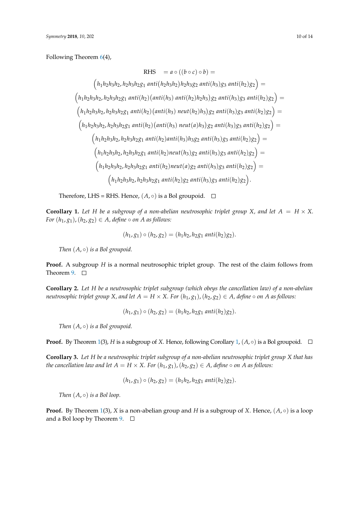Following Theorem [6\(](#page-6-0)4),

RHS = 
$$
a \circ ((b \circ c) \circ b)
$$
 =  
\n $(h_1h_2h_3h_2, h_2h_3h_2g_1 \text{ anti}(h_2h_3h_2)h_2h_3g_2 \text{ anti}(h_3)g_3 \text{ anti}(h_2)g_2)$  =  
\n $(h_1h_2h_3h_2, h_2h_3h_2g_1 \text{ anti}(h_2)(\text{anti}(h_3) \text{ anti}(h_2)h_2h_3)g_2 \text{ anti}(h_3)g_3 \text{ anti}(h_2)g_2)$  =  
\n $(h_1h_2h_3h_2, h_2h_3h_2g_1 \text{ anti}(h_2)(\text{anti}(h_3) \text{ neut}(h_2)h_3)g_2 \text{ anti}(h_3)g_3 \text{ anti}(h_2)g_2)$  =  
\n $(h_1h_2h_3h_2, h_2h_3h_2g_1 \text{ anti}(h_2)(\text{anti}(h_3) \text{ neut}(a)h_3)g_2 \text{ anti}(h_3)g_3 \text{ anti}(h_2)g_2)$  =  
\n $(h_1h_2h_3h_2, h_2h_3h_2g_1 \text{ anti}(h_2) \text{anti}(h_3)h_3g_2 \text{ anti}(h_3)g_3 \text{ anti}(h_2)g_2)$  =  
\n $(h_1h_2h_3h_2, h_2h_3h_2g_1 \text{ anti}(h_2) \text{neut}(h_3)g_2 \text{ anti}(h_3)g_3 \text{ anti}(h_2)g_2)$  =  
\n $(h_1h_2h_3h_2, h_2h_3h_2g_1 \text{ anti}(h_2) \text{neut}(a)g_2 \text{ anti}(h_3)g_3 \text{ anti}(h_2)g_2)$  =  
\n $(h_1h_2h_3h_2, h_2h_3h_2g_1 \text{ anti}(h_2) \text{geant}(h_3)g_3 \text{ anti}(h_2)g_2)$ .

Therefore, LHS = RHS. Hence,  $(A, \circ)$  is a Bol groupoid.  $\square$ 

<span id="page-9-0"></span>**Corollary 1.** Let H be a subgroup of a non-abelian neutrosophic triplet group X, and let  $A = H \times X$ . *For*  $(h_1, g_1)$ ,  $(h_2, g_2) \in A$ , *define*  $\circ$  *on A as follows:* 

$$
(h_1, g_1) \circ (h_2, g_2) = (h_1 h_2, h_2 g_1 \text{ anti}(h_2) g_2).
$$

*Then* (*A*, ◦) *is a Bol groupoid*.

**Proof.** A subgroup *H* is a normal neutrosophic triplet group. The rest of the claim follows from Theorem [9.](#page-8-0)  $\square$ 

**Corollary 2.** *Let H be a neutrosophic triplet subgroup (which obeys the cancellation law) of a non-abelian neutrosophic triplet group X, and let*  $A = H \times X$ . For  $(h_1, g_1)$ ,  $(h_2, g_2) \in A$ , define  $\circ$  on A as follows:

$$
(h_1, g_1) \circ (h_2, g_2) = (h_1 h_2, h_2 g_1 \text{ anti}(h_2) g_2).
$$

*Then* (*A*, ◦) *is a Bol groupoid*.

**Proof.** By Theorem [1\(](#page-3-3)3), *H* is a subgroup of *X*. Hence, following Corollary [1,](#page-9-0)  $(A, \circ)$  is a Bol groupoid.  $\Box$ 

**Corollary 3.** *Let H be a neutrosophic triplet subgroup of a non-abelian neutrosophic triplet group X that has the cancellation law and let*  $A = H \times X$ . For  $(h_1, g_1)$ ,  $(h_2, g_2) \in A$ , define  $\circ$  on A as follows:

$$
(h_1, g_1) \circ (h_2, g_2) = (h_1 h_2, h_2 g_1 \text{ anti}(h_2) g_2).
$$

*Then*  $(A, \circ)$  *is a Bol loop.* 

**Proof.** By Theorem [1\(](#page-3-3)3), *X* is a non-abelian group and *H* is a subgroup of *X*. Hence,  $(A, \circ)$  is a loop and a Bol loop by Theorem [9.](#page-8-0)  $\Box$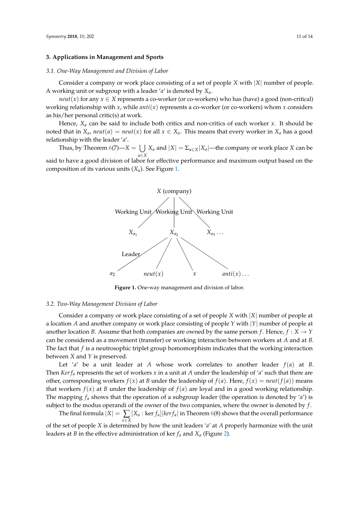## **3. Applications in Management and Sports**

#### *3.1. One-Way Management and Division of Labor*

Consider a company or work place consisting of a set of people *X* with |*X*| number of people. A working unit or subgroup with a leader '*a*' is denoted by *Xa*.

*neut*(*x*) for any  $x \in X$  represents a co-worker (or co-workers) who has (have) a good (non-critical) working relationship with *x*, while *anti*(*x*) represents a co-worker (or co-workers) whom *x* considers as his/her personal critic(s) at work.

Hence, *X<sup>a</sup>* can be said to include both critics and non-critics of each worker *x*. It should be noted that in  $X_a$ ,  $neut(a) = neut(x)$  for all  $x \in X_a$ . This means that every worker in  $X_a$  has a good relationship with the leader '*a*'.

<span id="page-10-0"></span>Thus, by Theorem  $6(7)$  $6(7)$ — $X = \cup$ *a*∈*X X*<sup>*a*</sup> and  $|X| = \sum_{a \in X} |X_a|$ —the company or work place *X* can be said to have a good division of labor for effective performance and maximum output based on the composition of its various units (*Xa*). See Figure [1.](#page-10-0)



**Figure 1.** One-way management and division of labor.

#### *3.2. Two-Way Management Division of Labor*

Consider a company or work place consisting of a set of people *X* with |*X*| number of people at a location *A* and another company or work place consisting of people *Y* with |*Y*| number of people at another location *B*. Assume that both companies are owned by the same person *f*. Hence,  $f : X \to Y$ can be considered as a movement (transfer) or working interaction between workers at *A* and at *B*. The fact that *f* is a neutrosophic triplet group homomorphism indicates that the working interaction between *X* and *Y* is preserved.

Let '*a*' be a unit leader at *A* whose work correlates to another leader  $f(a)$  at *B*. Then *Ker f<sup>a</sup>* represents the set of workers *x* in a unit at *A* under the leadership of '*a*' such that there are other, corresponding workers  $f(x)$  at *B* under the leadership of  $f(a)$ . Here,  $f(x) = \text{neut}(f(a))$  means that workers  $f(x)$  at *B* under the leadership of  $f(a)$  are loyal and in a good working relationship. The mapping *f<sup>a</sup>* shows that the operation of a subgroup leader (the operation is denoted by '*a*') is subject to the modus operandi of the owner of the two companies, where the owner is denoted by *f* .

The final formula  $|X| = \sum [X_a : \ker f_a]|ker f_a|$  in Theorem [6\(](#page-6-0)8) shows that the overall performance *x*∈*X* of the set of people *X* is determined by how the unit leaders '*a*' at *A* properly harmonize with the unit leaders at *B* in the effective administration of ker  $f_a$  and  $X_a$  (Figure [2\)](#page-11-0).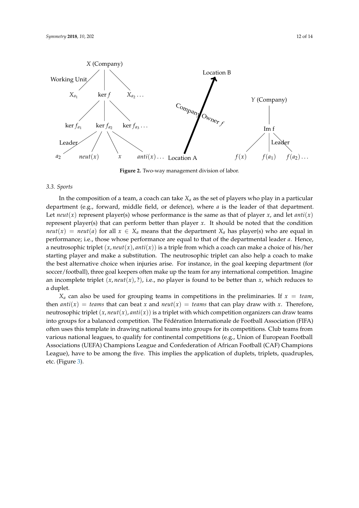<span id="page-11-0"></span>

**Figure 2.** Two-way management division of labor.

#### *3.3. Sports*

In the composition of a team, a coach can take *X<sup>a</sup>* as the set of players who play in a particular department (e.g., forward, middle field, or defence), where *a* is the leader of that department. Let *neut*(*x*) represent player(s) whose performance is the same as that of player *x*, and let *anti*(*x*) represent player(s) that can perform better than player *x*. It should be noted that the condition *neut*(*x*) = *neut*(*a*) for all  $x \in X_a$  means that the department  $X_a$  has player(s) who are equal in performance; i.e., those whose performance are equal to that of the departmental leader *a*. Hence, a neutrosophic triplet  $(x, neut(x), anti(x))$  is a triple from which a coach can make a choice of his/her starting player and make a substitution. The neutrosophic triplet can also help a coach to make the best alternative choice when injuries arise. For instance, in the goal keeping department (for soccer/football), three goal keepers often make up the team for any international competition. Imagine an incomplete triplet  $(x, neut(x), ?)$ , i.e., no player is found to be better than  $x$ , which reduces to a duplet.

 $X_a$  can also be used for grouping teams in competitions in the preliminaries. If  $x = team$ , then *anti*(*x*) = *teams* that can beat *x* and *neut*(*x*) = *teams* that can play draw with *x*. Therefore, neutrosophic triplet  $(x, neut(x), anti(x))$  is a triplet with which competition organizers can draw teams into groups for a balanced competition. The Fédération Internationale de Football Association (FIFA) often uses this template in drawing national teams into groups for its competitions. Club teams from various national leagues, to qualify for continental competitions (e.g., Union of European Football Associations (UEFA) Champions League and Confederation of African Football (CAF) Champions League), have to be among the five. This implies the application of duplets, triplets, quadruples, etc. (Figure [3\)](#page-12-12).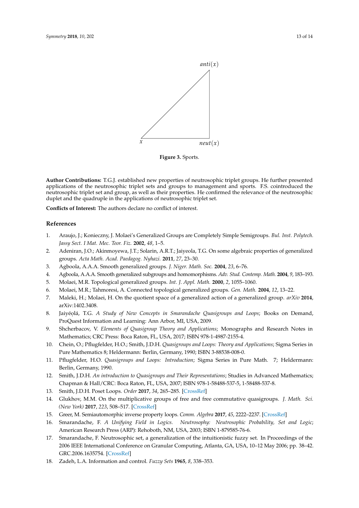<span id="page-12-12"></span>

**Figure 3.** Sports.

**Author Contributions:** T.G.J. established new properties of neutrosophic triplet groups. He further presented applications of the neutrosophic triplet sets and groups to management and sports. F.S. cointroduced the neutrosophic triplet set and group, as well as their properties. He confirmed the relevance of the neutrosophic duplet and the quadruple in the applications of neutrosophic triplet set.

**Conflicts of Interest:** The authors declare no conflict of interest.

#### **References**

- <span id="page-12-0"></span>1. Araujo, J.; Konieczny, J. Molaei's Generalized Groups are Completely Simple Semigroups. *Bul. Inst. Polytech. Jassy Sect. I Mat. Mec. Teor. Fiz.* **2002**, *48*, 1–5.
- <span id="page-12-1"></span>2. Adeniran, J.O.; Akinmoyewa, J.T.; Solarin, A.R.T.; Jaiyeola, T.G. On some algebraic properties of generalized groups. *Acta Math. Acad. Paedagog. Nyhazi.* **2011**, *27*, 23–30.
- <span id="page-12-2"></span>3. Agboola, A.A.A. Smooth generalized groups. *J. Niger. Math. Soc.* **2004**, *23*, 6–76.
- <span id="page-12-3"></span>4. Agboola, A.A.A. Smooth generalized subgroups and homomorphisms. *Adv. Stud. Contemp. Math.* **2004**, *9*, 183–193.
- <span id="page-12-4"></span>5. Molaei, M.R. Topological generalized groups. *Int. J. Appl. Math.* **2000**, *2*, 1055–1060.
- <span id="page-12-5"></span>6. Molaei, M.R.; Tahmoresi, A. Connected topological generalized groups. *Gen. Math.* **2004**, *12*, 13–22.
- <span id="page-12-6"></span>7. Maleki, H.; Molaei, H. On the quotient space of a generalized action of a generalized group. *arXiv* **2014**, arXiv:1402.3408.
- <span id="page-12-7"></span>8. Jaiyéolá, T.G. *A Study of New Concepts in Smarandache Quasigroups and Loops; Books on Demand*, ProQuest Information and Learning: Ann Arbor, MI, USA, 2009.
- 9. Shcherbacov, V. *Elements of Quasigroup Theory and Applications*; Monographs and Research Notes in Mathematics; CRC Press: Boca Raton, FL, USA, 2017; ISBN 978-1-4987-2155-4.
- 10. Chein, O.; Pflugfelder, H.O.; Smith, J.D.H. *Quasigroups and Loops: Theory and Applications*; Sigma Series in Pure Mathematics 8; Heldermann: Berlin, Germany, 1990; ISBN 3-88538-008-0.
- 11. Pflugfelder, H.O. *Quasigroups and Loops: Introduction*; Sigma Series in Pure Math. 7; Heldermann: Berlin, Germany, 1990.
- 12. Smith, J.D.H. *An introduction to Quasigroups and Their Representations*; Studies in Advanced Mathematics; Chapman & Hall/CRC: Boca Raton, FL, USA, 2007; ISBN 978-1-58488-537-5, 1-58488-537-8.
- 13. Smith, J.D.H. Poset Loops. *Order* **2017**, *34*, 265–285. [\[CrossRef\]](http://dx.doi.org/10.1007/s11083-016-9398-8)
- 14. Glukhov, M.M. On the multiplicative groups of free and free commutative quasigroups. *J. Math. Sci. (New York)* **2017**, *223*, 508–517. [\[CrossRef\]](http://dx.doi.org/10.1007/s10958-017-3364-x)
- <span id="page-12-8"></span>15. Greer, M. Semiautomorphic inverse property loops. *Comm. Algebra* **2017**, *45*, 2222–2237. [\[CrossRef\]](http://dx.doi.org/10.1080/00927872.2016.1233192)
- <span id="page-12-9"></span>16. Smarandache, F. *A Unifying Field in Logics. Neutrosophy: Neutrosophic Probability, Set and Logic*; American Research Press (ARP): Rehoboth, NM, USA, 2003; ISBN 1-879585-76-6.
- <span id="page-12-10"></span>17. Smarandache, F. Neutrosophic set, a generalization of the intuitionistic fuzzy set. In Proceedings of the 2006 IEEE International Conference on Granular Computing, Atlanta, GA, USA, 10–12 May 2006; pp. 38–42. GRC.2006.1635754. [\[CrossRef\]](http://dx.doi.org/10.1109/ GRC.2006.1635754)
- <span id="page-12-11"></span>18. Zadeh, L.A. Information and control. *Fuzzy Sets* **1965**, *8*, 338–353.